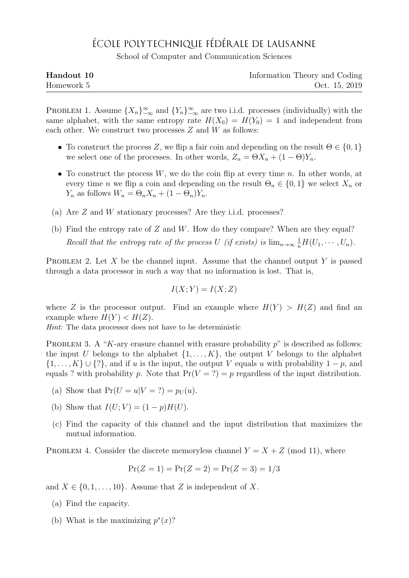## ÉCOLE POLYTECHNIQUE FÉDÉRALE DE LAUSANNE

School of Computer and Communication Sciences

| Handout 10 | Information Theory and Coding |
|------------|-------------------------------|
| Homework 5 | Oct. 15, 2019                 |

PROBLEM 1. Assume  ${X_n}_{-\infty}^{\infty}$  and  ${Y_n}_{-\infty}^{\infty}$  are two i.i.d. processes (individually) with the same alphabet, with the same entropy rate  $H(X_0) = H(Y_0) = 1$  and independent from each other. We construct two processes  $Z$  and  $W$  as follows:

- To construct the process Z, we flip a fair coin and depending on the result  $\Theta \in \{0,1\}$ we select one of the processes. In other words,  $Z_n = \Theta X_n + (1 - \Theta) Y_n$ .
- To construct the process  $W$ , we do the coin flip at every time n. In other words, at every time *n* we flip a coin and depending on the result  $\Theta_n \in \{0,1\}$  we select  $X_n$  or  $Y_n$  as follows  $W_n = \Theta_n X_n + (1 - \Theta_n) Y_n$ .
- (a) Are Z and W stationary processes? Are they i.i.d. processes?
- (b) Find the entropy rate of  $Z$  and  $W$ . How do they compare? When are they equal? Recall that the entropy rate of the process U (if exists) is  $\lim_{n\to\infty} \frac{1}{n}H(U_1,\dots,U_n)$ .

PROBLEM 2. Let X be the channel input. Assume that the channel output Y is passed through a data processor in such a way that no information is lost. That is,

$$
I(X;Y) = I(X;Z)
$$

where Z is the processor output. Find an example where  $H(Y) > H(Z)$  and find an example where  $H(Y) < H(Z)$ .

Hint: The data processor does not have to be deterministic

PROBLEM 3. A "K-ary erasure channel with erasure probability  $p$ " is described as follows: the input U belongs to the alphabet  $\{1, \ldots, K\}$ , the output V belongs to the alphabet  $\{1,\ldots,K\}\cup\{?\}$ , and if u is the input, the output V equals u with probability  $1-p$ , and equals ? with probability p. Note that  $Pr(V = ?) = p$  regardless of the input distribution.

- (a) Show that  $Pr(U = u|V = ?) = p_U(u)$ .
- (b) Show that  $I(U;V) = (1-p)H(U)$ .
- (c) Find the capacity of this channel and the input distribution that maximizes the mutual information.

PROBLEM 4. Consider the discrete memoryless channel  $Y = X + Z$  (mod 11), where

$$
Pr(Z = 1) = Pr(Z = 2) = Pr(Z = 3) = 1/3
$$

and  $X \in \{0, 1, \ldots, 10\}$ . Assume that Z is independent of X.

- (a) Find the capacity.
- (b) What is the maximizing  $p^*(x)$ ?